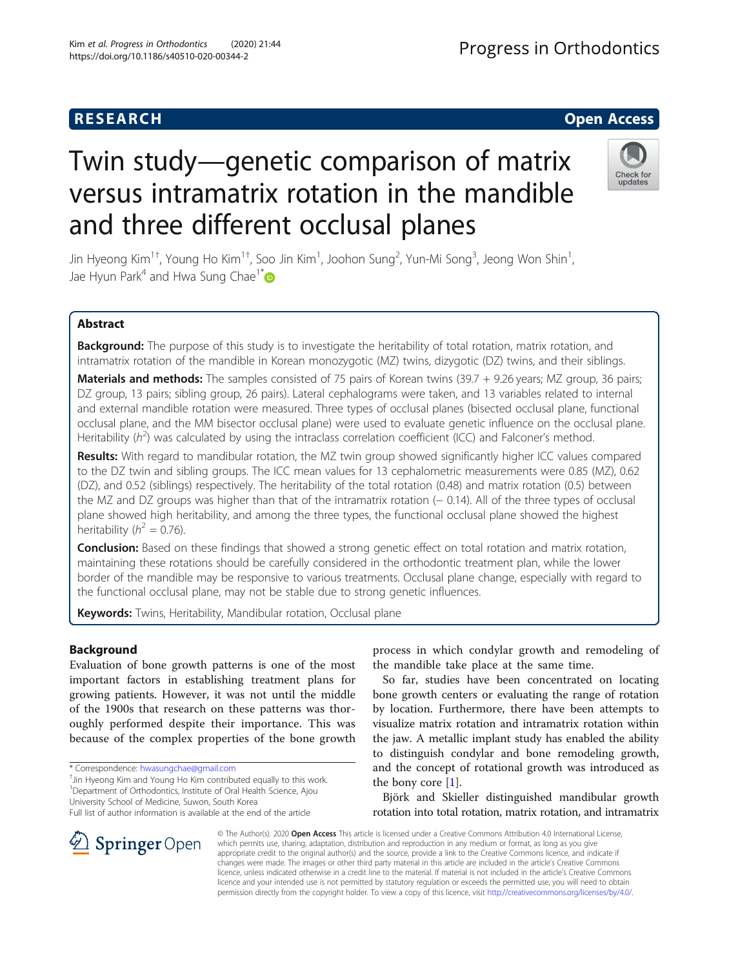## **RESEARCH CHE Open Access**

# Twin study—genetic comparison of matrix versus intramatrix rotation in the mandible and three different occlusal planes

Jin Hyeong Kim $^{1\dagger}$ , Young Ho Kim $^{1\dagger}$ , Soo Jin Kim $^1$ , Joohon Sung $^2$ , Yun-Mi Song $^3$ , Jeong Won Shin $^1$ , Jae Hyun Park<sup>4</sup> and Hwa Sung Chae<sup>1\*</sup>

## Abstract

Background: The purpose of this study is to investigate the heritability of total rotation, matrix rotation, and intramatrix rotation of the mandible in Korean monozygotic (MZ) twins, dizygotic (DZ) twins, and their siblings.

Materials and methods: The samples consisted of 75 pairs of Korean twins (39.7 + 9.26 years; MZ group, 36 pairs; DZ group, 13 pairs; sibling group, 26 pairs). Lateral cephalograms were taken, and 13 variables related to internal and external mandible rotation were measured. Three types of occlusal planes (bisected occlusal plane, functional occlusal plane, and the MM bisector occlusal plane) were used to evaluate genetic influence on the occlusal plane. Heritability ( $h^2$ ) was calculated by using the intraclass correlation coefficient (ICC) and Falconer's method.

Results: With regard to mandibular rotation, the MZ twin group showed significantly higher ICC values compared to the DZ twin and sibling groups. The ICC mean values for 13 cephalometric measurements were 0.85 (MZ), 0.62 (DZ), and 0.52 (siblings) respectively. The heritability of the total rotation (0.48) and matrix rotation (0.5) between the MZ and DZ groups was higher than that of the intramatrix rotation (− 0.14). All of the three types of occlusal plane showed high heritability, and among the three types, the functional occlusal plane showed the highest heritability ( $h^2 = 0.76$ ).

**Conclusion:** Based on these findings that showed a strong genetic effect on total rotation and matrix rotation, maintaining these rotations should be carefully considered in the orthodontic treatment plan, while the lower border of the mandible may be responsive to various treatments. Occlusal plane change, especially with regard to the functional occlusal plane, may not be stable due to strong genetic influences.

Keywords: Twins, Heritability, Mandibular rotation, Occlusal plane

## Background

Evaluation of bone growth patterns is one of the most important factors in establishing treatment plans for growing patients. However, it was not until the middle of the 1900s that research on these patterns was thoroughly performed despite their importance. This was because of the complex properties of the bone growth

<sup>+</sup>Jin Hyeong Kim and Young Ho Kim contributed equally to this work. <sup>1</sup>Department of Orthodontics, Institute of Oral Health Science, Ajou

process in which condylar growth and remodeling of the mandible take place at the same time.

So far, studies have been concentrated on locating bone growth centers or evaluating the range of rotation by location. Furthermore, there have been attempts to visualize matrix rotation and intramatrix rotation within the jaw. A metallic implant study has enabled the ability to distinguish condylar and bone remodeling growth, and the concept of rotational growth was introduced as the bony core [\[1](#page-6-0)].

Björk and Skieller distinguished mandibular growth rotation into total rotation, matrix rotation, and intramatrix

© The Author(s). 2020 Open Access This article is licensed under a Creative Commons Attribution 4.0 International License, which permits use, sharing, adaptation, distribution and reproduction in any medium or format, as long as you give appropriate credit to the original author(s) and the source, provide a link to the Creative Commons licence, and indicate if changes were made. The images or other third party material in this article are included in the article's Creative Commons licence, unless indicated otherwise in a credit line to the material. If material is not included in the article's Creative Commons licence and your intended use is not permitted by statutory regulation or exceeds the permitted use, you will need to obtain permission directly from the copyright holder. To view a copy of this licence, visit <http://creativecommons.org/licenses/by/4.0/>.





<sup>\*</sup> Correspondence: [hwasungchae@gmail.com](mailto:hwasungchae@gmail.com) †

University School of Medicine, Suwon, South Korea

Full list of author information is available at the end of the article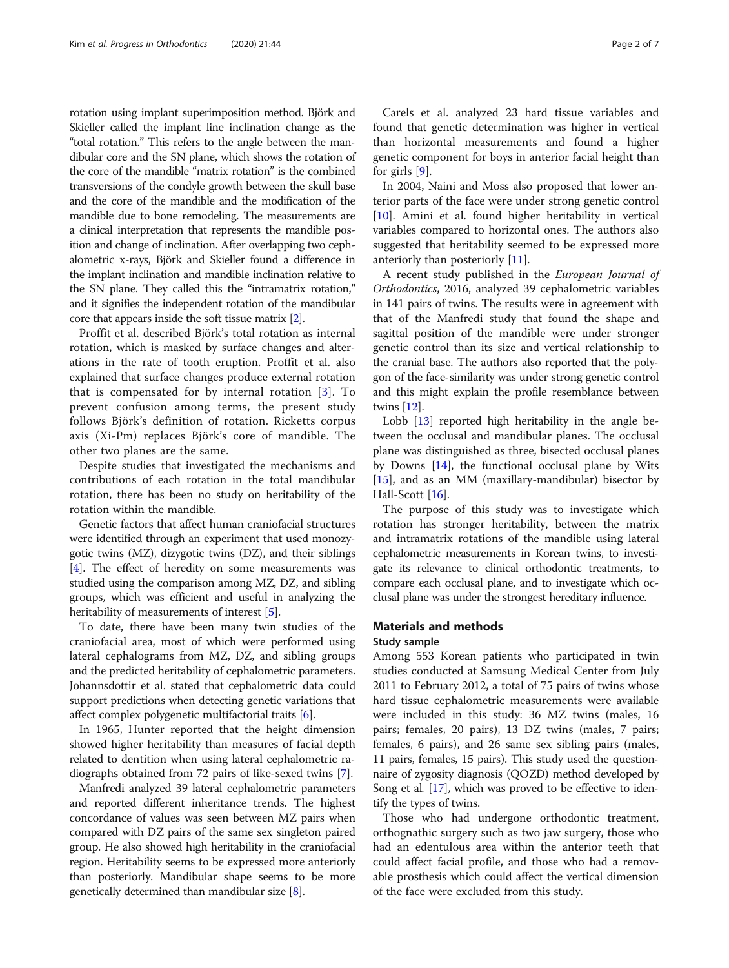rotation using implant superimposition method. Björk and Skieller called the implant line inclination change as the "total rotation." This refers to the angle between the mandibular core and the SN plane, which shows the rotation of the core of the mandible "matrix rotation" is the combined transversions of the condyle growth between the skull base and the core of the mandible and the modification of the mandible due to bone remodeling. The measurements are a clinical interpretation that represents the mandible position and change of inclination. After overlapping two cephalometric x-rays, Björk and Skieller found a difference in the implant inclination and mandible inclination relative to the SN plane. They called this the "intramatrix rotation," and it signifies the independent rotation of the mandibular core that appears inside the soft tissue matrix [[2](#page-6-0)].

Proffit et al. described Björk's total rotation as internal rotation, which is masked by surface changes and alterations in the rate of tooth eruption. Proffit et al. also explained that surface changes produce external rotation that is compensated for by internal rotation [[3](#page-6-0)]. To prevent confusion among terms, the present study follows Björk's definition of rotation. Ricketts corpus axis (Xi-Pm) replaces Björk's core of mandible. The other two planes are the same.

Despite studies that investigated the mechanisms and contributions of each rotation in the total mandibular rotation, there has been no study on heritability of the rotation within the mandible.

Genetic factors that affect human craniofacial structures were identified through an experiment that used monozygotic twins (MZ), dizygotic twins (DZ), and their siblings [[4\]](#page-6-0). The effect of heredity on some measurements was studied using the comparison among MZ, DZ, and sibling groups, which was efficient and useful in analyzing the heritability of measurements of interest [\[5](#page-6-0)].

To date, there have been many twin studies of the craniofacial area, most of which were performed using lateral cephalograms from MZ, DZ, and sibling groups and the predicted heritability of cephalometric parameters. Johannsdottir et al. stated that cephalometric data could support predictions when detecting genetic variations that affect complex polygenetic multifactorial traits [[6\]](#page-6-0).

In 1965, Hunter reported that the height dimension showed higher heritability than measures of facial depth related to dentition when using lateral cephalometric radiographs obtained from 72 pairs of like-sexed twins [\[7](#page-6-0)].

Manfredi analyzed 39 lateral cephalometric parameters and reported different inheritance trends. The highest concordance of values was seen between MZ pairs when compared with DZ pairs of the same sex singleton paired group. He also showed high heritability in the craniofacial region. Heritability seems to be expressed more anteriorly than posteriorly. Mandibular shape seems to be more genetically determined than mandibular size [\[8](#page-6-0)].

Carels et al. analyzed 23 hard tissue variables and found that genetic determination was higher in vertical than horizontal measurements and found a higher genetic component for boys in anterior facial height than for girls [[9\]](#page-6-0).

In 2004, Naini and Moss also proposed that lower anterior parts of the face were under strong genetic control [[10\]](#page-6-0). Amini et al. found higher heritability in vertical variables compared to horizontal ones. The authors also suggested that heritability seemed to be expressed more anteriorly than posteriorly [\[11\]](#page-6-0).

A recent study published in the European Journal of Orthodontics, 2016, analyzed 39 cephalometric variables in 141 pairs of twins. The results were in agreement with that of the Manfredi study that found the shape and sagittal position of the mandible were under stronger genetic control than its size and vertical relationship to the cranial base. The authors also reported that the polygon of the face-similarity was under strong genetic control and this might explain the profile resemblance between twins [[12](#page-6-0)].

Lobb [\[13](#page-6-0)] reported high heritability in the angle between the occlusal and mandibular planes. The occlusal plane was distinguished as three, bisected occlusal planes by Downs [[14\]](#page-6-0), the functional occlusal plane by Wits [[15\]](#page-6-0), and as an MM (maxillary-mandibular) bisector by Hall-Scott [\[16](#page-6-0)].

The purpose of this study was to investigate which rotation has stronger heritability, between the matrix and intramatrix rotations of the mandible using lateral cephalometric measurements in Korean twins, to investigate its relevance to clinical orthodontic treatments, to compare each occlusal plane, and to investigate which occlusal plane was under the strongest hereditary influence.

### Materials and methods

#### Study sample

Among 553 Korean patients who participated in twin studies conducted at Samsung Medical Center from July 2011 to February 2012, a total of 75 pairs of twins whose hard tissue cephalometric measurements were available were included in this study: 36 MZ twins (males, 16 pairs; females, 20 pairs), 13 DZ twins (males, 7 pairs; females, 6 pairs), and 26 same sex sibling pairs (males, 11 pairs, females, 15 pairs). This study used the questionnaire of zygosity diagnosis (QOZD) method developed by Song et al. [\[17\]](#page-6-0), which was proved to be effective to identify the types of twins.

Those who had undergone orthodontic treatment, orthognathic surgery such as two jaw surgery, those who had an edentulous area within the anterior teeth that could affect facial profile, and those who had a removable prosthesis which could affect the vertical dimension of the face were excluded from this study.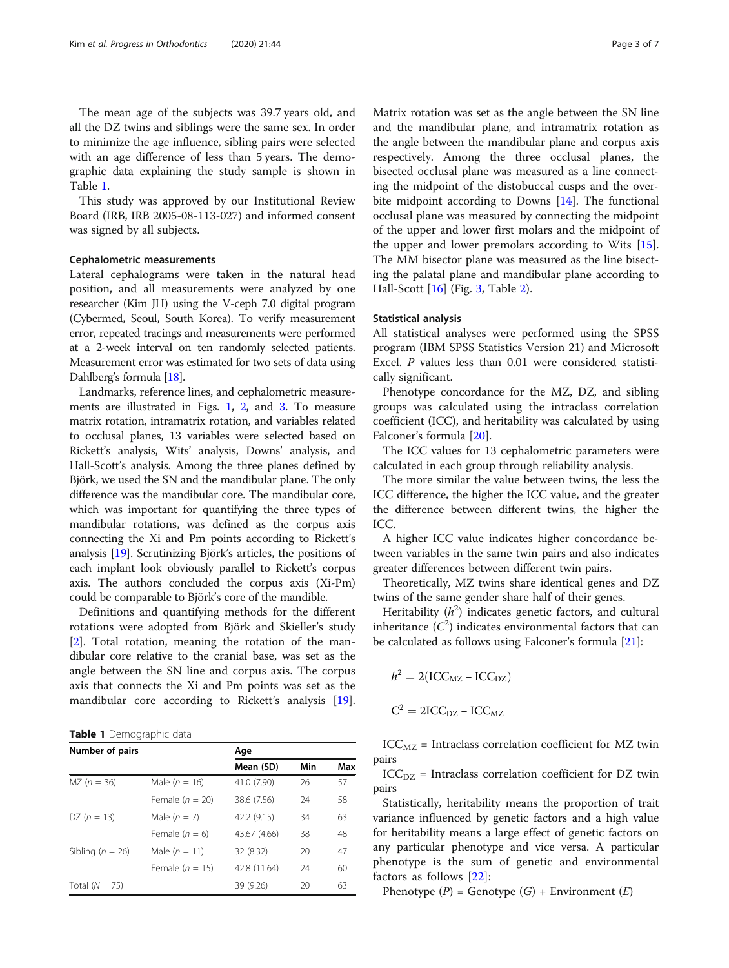The mean age of the subjects was 39.7 years old, and all the DZ twins and siblings were the same sex. In order to minimize the age influence, sibling pairs were selected with an age difference of less than 5 years. The demographic data explaining the study sample is shown in Table 1.

This study was approved by our Institutional Review Board (IRB, IRB 2005-08-113-027) and informed consent was signed by all subjects.

#### Cephalometric measurements

Lateral cephalograms were taken in the natural head position, and all measurements were analyzed by one researcher (Kim JH) using the V-ceph 7.0 digital program (Cybermed, Seoul, South Korea). To verify measurement error, repeated tracings and measurements were performed at a 2-week interval on ten randomly selected patients. Measurement error was estimated for two sets of data using Dahlberg's formula [\[18](#page-6-0)].

Landmarks, reference lines, and cephalometric measurements are illustrated in Figs. [1](#page-3-0), [2](#page-3-0), and [3](#page-4-0). To measure matrix rotation, intramatrix rotation, and variables related to occlusal planes, 13 variables were selected based on Rickett's analysis, Wits' analysis, Downs' analysis, and Hall-Scott's analysis. Among the three planes defined by Björk, we used the SN and the mandibular plane. The only difference was the mandibular core. The mandibular core, which was important for quantifying the three types of mandibular rotations, was defined as the corpus axis connecting the Xi and Pm points according to Rickett's analysis [[19](#page-6-0)]. Scrutinizing Björk's articles, the positions of each implant look obviously parallel to Rickett's corpus axis. The authors concluded the corpus axis (Xi-Pm) could be comparable to Björk's core of the mandible.

Definitions and quantifying methods for the different rotations were adopted from Björk and Skieller's study [[2\]](#page-6-0). Total rotation, meaning the rotation of the mandibular core relative to the cranial base, was set as the angle between the SN line and corpus axis. The corpus axis that connects the Xi and Pm points was set as the mandibular core according to Rickett's analysis [\[19](#page-6-0)].

Table 1 Demographic data

| Number of pairs      |                   | Age          |     |     |  |  |
|----------------------|-------------------|--------------|-----|-----|--|--|
|                      |                   | Mean (SD)    | Min | Max |  |  |
| $MZ (n = 36)$        | Male $(n = 16)$   | 41.0 (7.90)  | 26  | 57  |  |  |
|                      | Female $(n = 20)$ | 38.6 (7.56)  | 24  | 58  |  |  |
| $DZ (n = 13)$        | Male $(n = 7)$    | 42.2 (9.15)  | 34  | 63  |  |  |
|                      | Female $(n = 6)$  | 43.67 (4.66) | 38  | 48  |  |  |
| Sibling ( $n = 26$ ) | Male $(n = 11)$   | 32 (8.32)    | 20  | 47  |  |  |
|                      | Female $(n = 15)$ | 42.8 (11.64) | 24  | 60  |  |  |
| Total $(N = 75)$     |                   | 39 (9.26)    | 20  | 63  |  |  |

Matrix rotation was set as the angle between the SN line and the mandibular plane, and intramatrix rotation as the angle between the mandibular plane and corpus axis respectively. Among the three occlusal planes, the bisected occlusal plane was measured as a line connecting the midpoint of the distobuccal cusps and the overbite midpoint according to Downs [[14\]](#page-6-0). The functional occlusal plane was measured by connecting the midpoint of the upper and lower first molars and the midpoint of the upper and lower premolars according to Wits [\[15](#page-6-0)]. The MM bisector plane was measured as the line bisecting the palatal plane and mandibular plane according to Hall-Scott [\[16](#page-6-0)] (Fig. [3,](#page-4-0) Table [2\)](#page-4-0).

#### Statistical analysis

All statistical analyses were performed using the SPSS program (IBM SPSS Statistics Version 21) and Microsoft Excel. P values less than 0.01 were considered statistically significant.

Phenotype concordance for the MZ, DZ, and sibling groups was calculated using the intraclass correlation coefficient (ICC), and heritability was calculated by using Falconer's formula [[20\]](#page-6-0).

The ICC values for 13 cephalometric parameters were calculated in each group through reliability analysis.

The more similar the value between twins, the less the ICC difference, the higher the ICC value, and the greater the difference between different twins, the higher the ICC.

A higher ICC value indicates higher concordance between variables in the same twin pairs and also indicates greater differences between different twin pairs.

Theoretically, MZ twins share identical genes and DZ twins of the same gender share half of their genes.

Heritability  $(h^2)$  indicates genetic factors, and cultural inheritance  $(C^2)$  indicates environmental factors that can be calculated as follows using Falconer's formula [[21](#page-6-0)]:

$$
h^2 = 2(ICC_{MZ} - ICC_{DZ})
$$

$$
C^2 = 2ICC_{DZ} - ICC_{MZ}
$$

 $ICC<sub>MZ</sub>$  = Intraclass correlation coefficient for MZ twin pairs

 $ICC<sub>DZ</sub>$  = Intraclass correlation coefficient for DZ twin pairs

Statistically, heritability means the proportion of trait variance influenced by genetic factors and a high value for heritability means a large effect of genetic factors on any particular phenotype and vice versa. A particular phenotype is the sum of genetic and environmental factors as follows [[22\]](#page-6-0):

Phenotype  $(P)$  = Genotype  $(G)$  + Environment  $(E)$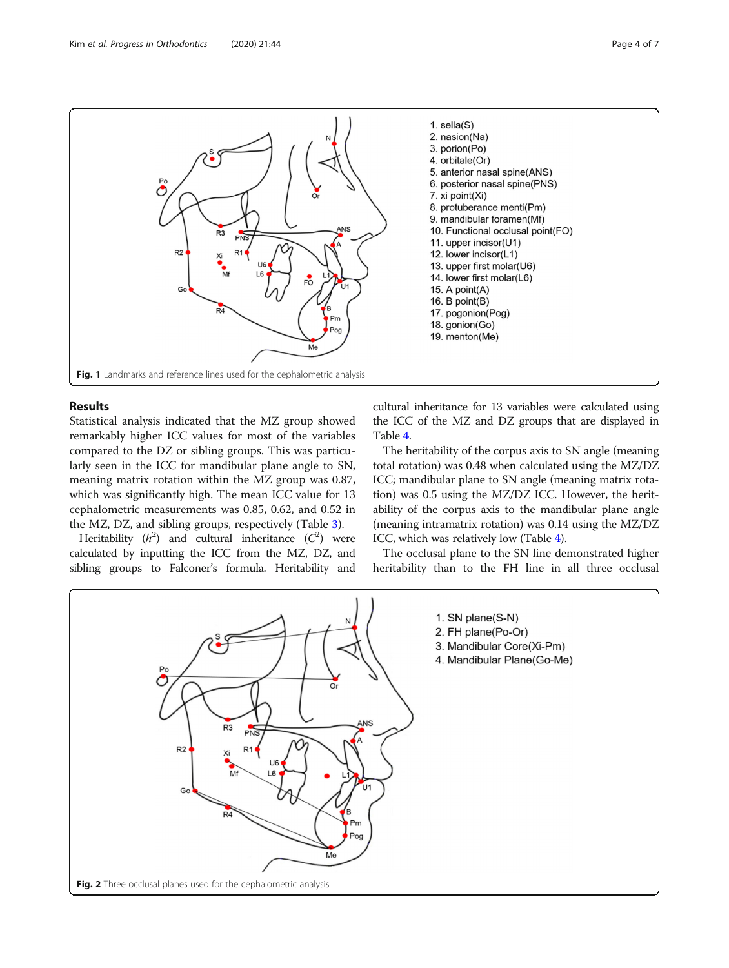<span id="page-3-0"></span>

## Results

Statistical analysis indicated that the MZ group showed remarkably higher ICC values for most of the variables compared to the DZ or sibling groups. This was particularly seen in the ICC for mandibular plane angle to SN, meaning matrix rotation within the MZ group was 0.87, which was significantly high. The mean ICC value for 13 cephalometric measurements was 0.85, 0.62, and 0.52 in the MZ, DZ, and sibling groups, respectively (Table [3](#page-4-0)).

Heritability  $(h^2)$  and cultural inheritance  $(C^2)$  were calculated by inputting the ICC from the MZ, DZ, and sibling groups to Falconer's formula. Heritability and

cultural inheritance for 13 variables were calculated using the ICC of the MZ and DZ groups that are displayed in Table [4](#page-5-0).

The heritability of the corpus axis to SN angle (meaning total rotation) was 0.48 when calculated using the MZ/DZ ICC; mandibular plane to SN angle (meaning matrix rotation) was 0.5 using the MZ/DZ ICC. However, the heritability of the corpus axis to the mandibular plane angle (meaning intramatrix rotation) was 0.14 using the MZ/DZ ICC, which was relatively low (Table [4](#page-5-0)).

The occlusal plane to the SN line demonstrated higher heritability than to the FH line in all three occlusal

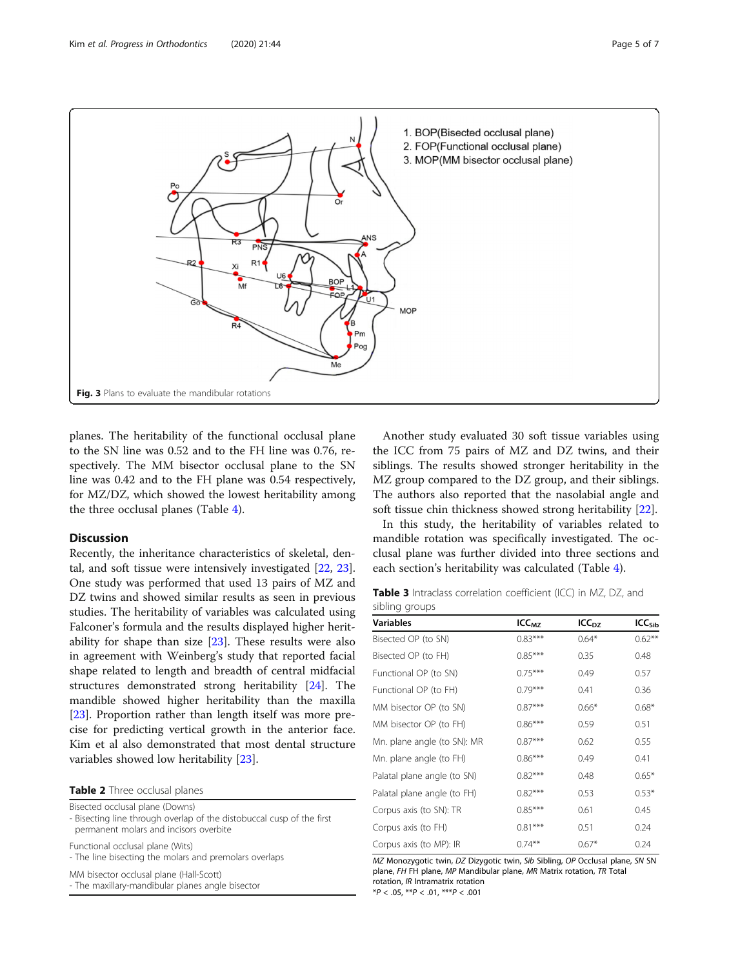<span id="page-4-0"></span>

planes. The heritability of the functional occlusal plane to the SN line was 0.52 and to the FH line was 0.76, respectively. The MM bisector occlusal plane to the SN line was 0.42 and to the FH plane was 0.54 respectively, for MZ/DZ, which showed the lowest heritability among the three occlusal planes (Table [4\)](#page-5-0).

#### **Discussion**

Recently, the inheritance characteristics of skeletal, dental, and soft tissue were intensively investigated [[22,](#page-6-0) [23](#page-6-0)]. One study was performed that used 13 pairs of MZ and DZ twins and showed similar results as seen in previous studies. The heritability of variables was calculated using Falconer's formula and the results displayed higher heritability for shape than size  $[23]$  $[23]$ . These results were also in agreement with Weinberg's study that reported facial shape related to length and breadth of central midfacial structures demonstrated strong heritability [[24](#page-6-0)]. The mandible showed higher heritability than the maxilla [[23\]](#page-6-0). Proportion rather than length itself was more precise for predicting vertical growth in the anterior face. Kim et al also demonstrated that most dental structure variables showed low heritability [\[23\]](#page-6-0).

Table 2 Three occlusal planes

Bisected occlusal plane (Downs)

- Bisecting line through overlap of the distobuccal cusp of the first permanent molars and incisors overbite

Functional occlusal plane (Wits)

- The line bisecting the molars and premolars overlaps

MM bisector occlusal plane (Hall-Scott) - The maxillary-mandibular planes angle bisector

Another study evaluated 30 soft tissue variables using the ICC from 75 pairs of MZ and DZ twins, and their siblings. The results showed stronger heritability in the MZ group compared to the DZ group, and their siblings. The authors also reported that the nasolabial angle and soft tissue chin thickness showed strong heritability [\[22](#page-6-0)].

In this study, the heritability of variables related to mandible rotation was specifically investigated. The occlusal plane was further divided into three sections and each section's heritability was calculated (Table [4](#page-5-0)).

|                |  | <b>Table 3</b> Intraclass correlation coefficient (ICC) in MZ, DZ, and |  |  |  |
|----------------|--|------------------------------------------------------------------------|--|--|--|
| sibling groups |  |                                                                        |  |  |  |

| <b>Variables</b>            | $ICC_{MZ}$ | ICC <sub>DZ</sub> | ICC <sub>Sib</sub> |
|-----------------------------|------------|-------------------|--------------------|
| Bisected OP (to SN)         | $0.83***$  | $0.64*$           | $0.62***$          |
| Bisected OP (to FH)         | $0.85***$  | 0.35              | 0.48               |
| Functional OP (to SN)       | $0.75***$  | 0.49              | 0.57               |
| Functional OP (to FH)       | $0.79***$  | 0.41              | 0.36               |
| MM bisector OP (to SN)      | $0.87***$  | $0.66*$           | $0.68*$            |
| MM bisector OP (to FH)      | $0.86***$  | 0.59              | 0.51               |
| Mn. plane angle (to SN): MR | $0.87***$  | 0.62              | 0.55               |
| Mn. plane angle (to FH)     | $0.86***$  | 0.49              | 0.41               |
| Palatal plane angle (to SN) | $0.82***$  | 0.48              | $0.65*$            |
| Palatal plane angle (to FH) | $0.82***$  | 0.53              | $0.53*$            |
| Corpus axis (to SN): TR     | $0.85***$  | 0.61              | 0.45               |
| Corpus axis (to FH)         | $0.81***$  | 0.51              | 0.24               |
| Corpus axis (to MP): IR     | $0.74***$  | $0.67*$           | 0.24               |

MZ Monozygotic twin, DZ Dizygotic twin, Sib Sibling, OP Occlusal plane, SN SN plane, FH FH plane, MP Mandibular plane, MR Matrix rotation, TR Total rotation, IR Intramatrix rotation

 $*P < .05, **P < .01, **P < .001$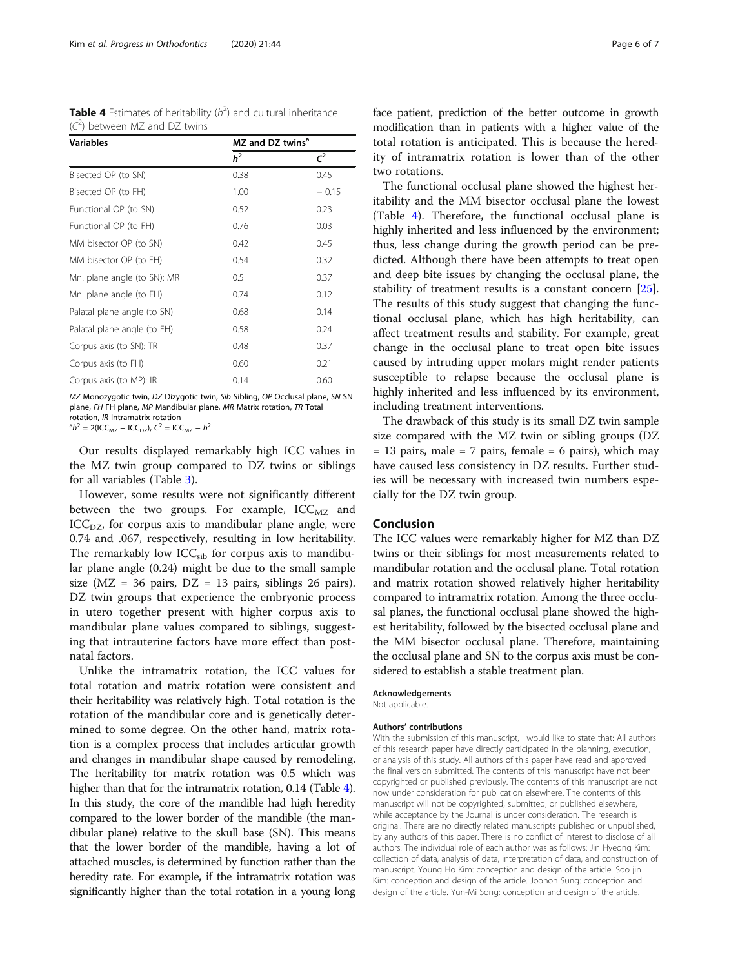<span id="page-5-0"></span>

| <b>Table 4</b> Estimates of heritability $(h^2)$ and cultural inheritance |  |  |
|---------------------------------------------------------------------------|--|--|
| $(C2)$ between MZ and DZ twins                                            |  |  |

| <b>Variables</b>            | MZ and DZ twins <sup>a</sup> |         |
|-----------------------------|------------------------------|---------|
|                             | h <sup>2</sup>               | $C^2$   |
| Bisected OP (to SN)         | 0.38                         | 0.45    |
| Bisected OP (to FH)         | 1.00                         | $-0.15$ |
| Functional OP (to SN)       | 0.52                         | 0.23    |
| Functional OP (to FH)       | 0.76                         | 0.03    |
| MM bisector OP (to SN)      | 0.42                         | 0.45    |
| MM bisector OP (to FH)      | 0.54                         | 0.32    |
| Mn. plane angle (to SN): MR | 0.5                          | 0.37    |
| Mn. plane angle (to FH)     | 0.74                         | 0.12    |
| Palatal plane angle (to SN) | 0.68                         | 0.14    |
| Palatal plane angle (to FH) | 0.58                         | 0.24    |
| Corpus axis (to SN): TR     | 0.48                         | 0.37    |
| Corpus axis (to FH)         | 0.60                         | 0.21    |
| Corpus axis (to MP): IR     | 0.14                         | 0.60    |

MZ Monozygotic twin, DZ Dizygotic twin, Sib Sibling, OP Occlusal plane, SN SN plane, FH FH plane, MP Mandibular plane, MR Matrix rotation, TR Total rotation, *IR* Intramatrix rotation

 $h^2 = 2(ICC_{MZ} - ICC_{DZ}), C^2 = ICC_{MZ} - h^2$ 

Our results displayed remarkably high ICC values in the MZ twin group compared to DZ twins or siblings for all variables (Table [3](#page-4-0)).

However, some results were not significantly different between the two groups. For example,  $ICC_{MZ}$  and  $ICC<sub>DZ</sub>$ , for corpus axis to mandibular plane angle, were 0.74 and .067, respectively, resulting in low heritability. The remarkably low  $ICC_{sib}$  for corpus axis to mandibular plane angle (0.24) might be due to the small sample size ( $MZ = 36$  pairs,  $DZ = 13$  pairs, siblings 26 pairs). DZ twin groups that experience the embryonic process in utero together present with higher corpus axis to mandibular plane values compared to siblings, suggesting that intrauterine factors have more effect than postnatal factors.

Unlike the intramatrix rotation, the ICC values for total rotation and matrix rotation were consistent and their heritability was relatively high. Total rotation is the rotation of the mandibular core and is genetically determined to some degree. On the other hand, matrix rotation is a complex process that includes articular growth and changes in mandibular shape caused by remodeling. The heritability for matrix rotation was 0.5 which was higher than that for the intramatrix rotation, 0.14 (Table 4). In this study, the core of the mandible had high heredity compared to the lower border of the mandible (the mandibular plane) relative to the skull base (SN). This means that the lower border of the mandible, having a lot of attached muscles, is determined by function rather than the heredity rate. For example, if the intramatrix rotation was significantly higher than the total rotation in a young long face patient, prediction of the better outcome in growth modification than in patients with a higher value of the total rotation is anticipated. This is because the heredity of intramatrix rotation is lower than of the other two rotations.

The functional occlusal plane showed the highest heritability and the MM bisector occlusal plane the lowest (Table 4). Therefore, the functional occlusal plane is highly inherited and less influenced by the environment; thus, less change during the growth period can be predicted. Although there have been attempts to treat open and deep bite issues by changing the occlusal plane, the stability of treatment results is a constant concern [\[25](#page-6-0)]. The results of this study suggest that changing the functional occlusal plane, which has high heritability, can affect treatment results and stability. For example, great change in the occlusal plane to treat open bite issues caused by intruding upper molars might render patients susceptible to relapse because the occlusal plane is highly inherited and less influenced by its environment, including treatment interventions.

The drawback of this study is its small DZ twin sample size compared with the MZ twin or sibling groups (DZ  $= 13$  pairs, male  $= 7$  pairs, female  $= 6$  pairs), which may have caused less consistency in DZ results. Further studies will be necessary with increased twin numbers especially for the DZ twin group.

## Conclusion

The ICC values were remarkably higher for MZ than DZ twins or their siblings for most measurements related to mandibular rotation and the occlusal plane. Total rotation and matrix rotation showed relatively higher heritability compared to intramatrix rotation. Among the three occlusal planes, the functional occlusal plane showed the highest heritability, followed by the bisected occlusal plane and the MM bisector occlusal plane. Therefore, maintaining the occlusal plane and SN to the corpus axis must be considered to establish a stable treatment plan.

#### Acknowledgements

Not applicable.

#### Authors' contributions

With the submission of this manuscript, I would like to state that: All authors of this research paper have directly participated in the planning, execution, or analysis of this study. All authors of this paper have read and approved the final version submitted. The contents of this manuscript have not been copyrighted or published previously. The contents of this manuscript are not now under consideration for publication elsewhere. The contents of this manuscript will not be copyrighted, submitted, or published elsewhere, while acceptance by the Journal is under consideration. The research is original. There are no directly related manuscripts published or unpublished, by any authors of this paper. There is no conflict of interest to disclose of all authors. The individual role of each author was as follows: Jin Hyeong Kim: collection of data, analysis of data, interpretation of data, and construction of manuscript. Young Ho Kim: conception and design of the article. Soo jin Kim: conception and design of the article. Joohon Sung: conception and design of the article. Yun-Mi Song: conception and design of the article.